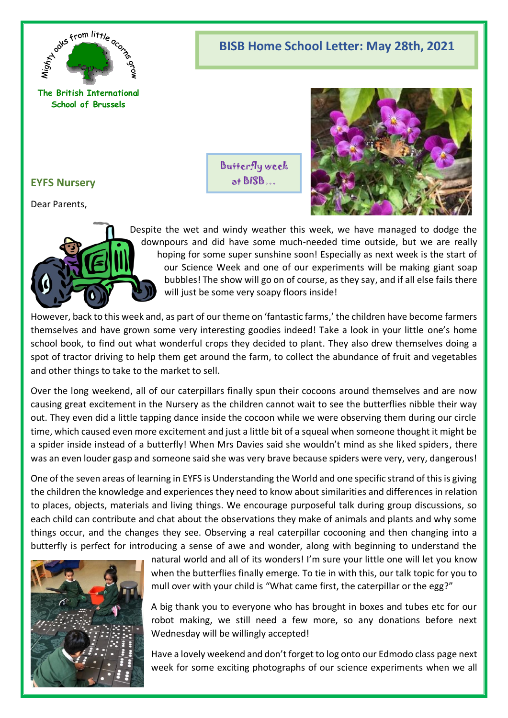

# **BISB Home School Letter: May 28th, 2021**

**The British International School of Brussels**

# Butterfly week at BISB…



# **EYFS Nursery**

Dear Parents,



Despite the wet and windy weather this week, we have managed to dodge the downpours and did have some much-needed time outside, but we are really hoping for some super sunshine soon! Especially as next week is the start of our Science Week and one of our experiments will be making giant soap bubbles! The show will go on of course, as they say, and if all else fails there will just be some very soapy floors inside!

However, back to this week and, as part of our theme on 'fantastic farms,' the children have become farmers themselves and have grown some very interesting goodies indeed! Take a look in your little one's home school book, to find out what wonderful crops they decided to plant. They also drew themselves doing a spot of tractor driving to help them get around the farm, to collect the abundance of fruit and vegetables and other things to take to the market to sell.

Over the long weekend, all of our caterpillars finally spun their cocoons around themselves and are now causing great excitement in the Nursery as the children cannot wait to see the butterflies nibble their way out. They even did a little tapping dance inside the cocoon while we were observing them during our circle time, which caused even more excitement and just a little bit of a squeal when someone thought it might be a spider inside instead of a butterfly! When Mrs Davies said she wouldn't mind as she liked spiders, there was an even louder gasp and someone said she was very brave because spiders were very, very, dangerous!

One of the seven areas of learning in EYFS is Understanding the World and one specific strand of this is giving the children the knowledge and experiences they need to know about similarities and differences in relation to places, objects, materials and living things. We encourage purposeful talk during group discussions, so each child can contribute and chat about the observations they make of animals and plants and why some things occur, and the changes they see. Observing a real caterpillar cocooning and then changing into a butterfly is perfect for introducing a sense of awe and wonder, along with beginning to understand the



natural world and all of its wonders! I'm sure your little one will let you know when the butterflies finally emerge. To tie in with this, our talk topic for you to mull over with your child is "What came first, the caterpillar or the egg?"

A big thank you to everyone who has brought in boxes and tubes etc for our robot making, we still need a few more, so any donations before next Wednesday will be willingly accepted!

Have a lovely weekend and don't forget to log onto our Edmodo class page next week for some exciting photographs of our science experiments when we all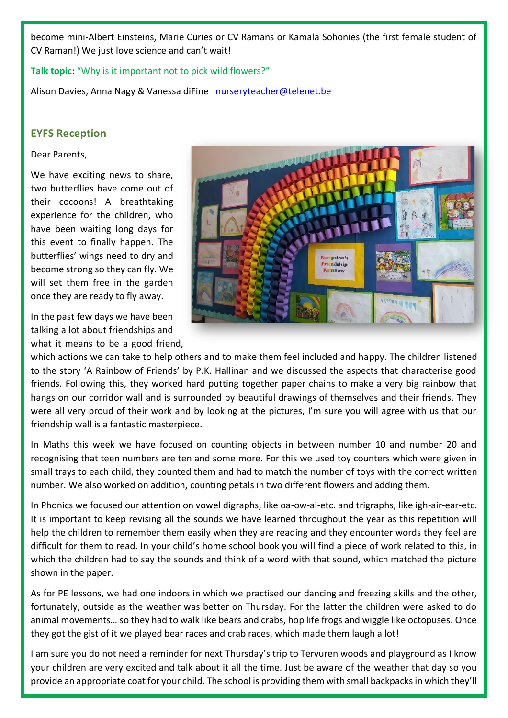become mini-Albert Einsteins, Marie Curies or CV Ramans or Kamala Sohonies (the first female student of CV Raman!) We just love science and can't wait!

**Talk topic**: "Why is it important not to pick wild flowers?"

Alison Davies, Anna Nagy & Vanessa diFine [nurseryteacher@telenet.be](mailto:nurseryteacher@telenet.be)

## **EYFS Reception**

#### Dear Parents,

We have exciting news to share, two butterflies have come out of their cocoons! A breathtaking experience for the children, who have been waiting long days for this event to finally happen. The butterflies' wings need to dry and become strong so they can fly. We will set them free in the garden once they are ready to fly away.

In the past few days we have been talking a lot about friendships and what it means to be a good friend,



which actions we can take to help others and to make them feel included and happy. The children listened to the story 'A Rainbow of Friends' by P.K. Hallinan and we discussed the aspects that characterise good friends. Following this, they worked hard putting together paper chains to make a very big rainbow that hangs on our corridor wall and is surrounded by beautiful drawings of themselves and their friends. They were all very proud of their work and by looking at the pictures, I'm sure you will agree with us that our friendship wall is a fantastic masterpiece.

In Maths this week we have focused on counting objects in between number 10 and number 20 and recognising that teen numbers are ten and some more. For this we used toy counters which were given in small trays to each child, they counted them and had to match the number of toys with the correct written number. We also worked on addition, counting petals in two different flowers and adding them.

In Phonics we focused our attention on vowel digraphs, like oa-ow-ai-etc. and trigraphs, like igh-air-ear-etc. It is important to keep revising all the sounds we have learned throughout the year as this repetition will help the children to remember them easily when they are reading and they encounter words they feel are difficult for them to read. In your child's home school book you will find a piece of work related to this, in which the children had to say the sounds and think of a word with that sound, which matched the picture shown in the paper.

As for PE lessons, we had one indoors in which we practised our dancing and freezing skills and the other, fortunately, outside as the weather was better on Thursday. For the latter the children were asked to do animal movements… so they had to walk like bears and crabs, hop life frogs and wiggle like octopuses. Once they got the gist of it we played bear races and crab races, which made them laugh a lot!

I am sure you do not need a reminder for next Thursday's trip to Tervuren woods and playground as I know your children are very excited and talk about it all the time. Just be aware of the weather that day so you provide an appropriate coat for your child. The school is providing them with small backpacks in which they'll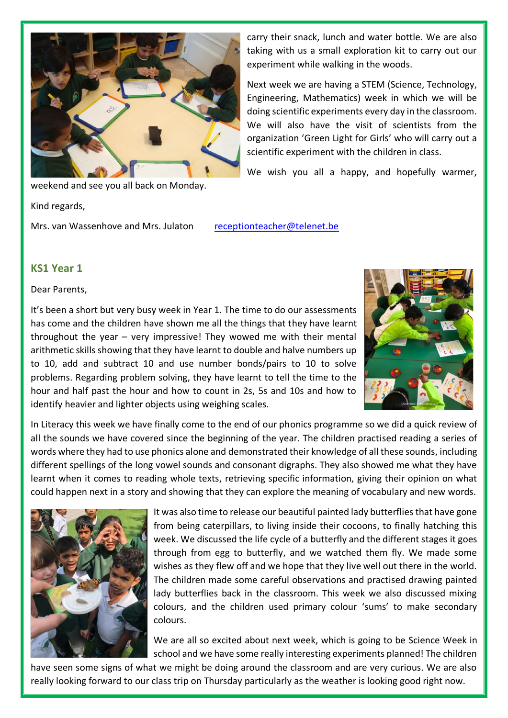

weekend and see you all back on Monday.

Kind regards,

Mrs. van Wassenhove and Mrs. Julaton [receptionteacher@telenet.be](mailto:receptionteacher@telenet.be)

carry their snack, lunch and water bottle. We are also taking with us a small exploration kit to carry out our experiment while walking in the woods.

Next week we are having a STEM (Science, Technology, Engineering, Mathematics) week in which we will be doing scientific experiments every day in the classroom. We will also have the visit of scientists from the organization 'Green Light for Girls' who will carry out a scientific experiment with the children in class.

We wish you all a happy, and hopefully warmer,

**KS1 Year 1**

Dear Parents,

It's been a short but very busy week in Year 1. The time to do our assessments has come and the children have shown me all the things that they have learnt throughout the year – very impressive! They wowed me with their mental arithmetic skills showing that they have learnt to double and halve numbers up to 10, add and subtract 10 and use number bonds/pairs to 10 to solve problems. Regarding problem solving, they have learnt to tell the time to the hour and half past the hour and how to count in 2s, 5s and 10s and how to identify heavier and lighter objects using weighing scales.



In Literacy this week we have finally come to the end of our phonics programme so we did a quick review of all the sounds we have covered since the beginning of the year. The children practised reading a series of words where they had to use phonics alone and demonstrated their knowledge of all these sounds, including different spellings of the long vowel sounds and consonant digraphs. They also showed me what they have learnt when it comes to reading whole texts, retrieving specific information, giving their opinion on what could happen next in a story and showing that they can explore the meaning of vocabulary and new words.



It was also time to release our beautiful painted lady butterflies that have gone from being caterpillars, to living inside their cocoons, to finally hatching this week. We discussed the life cycle of a butterfly and the different stages it goes through from egg to butterfly, and we watched them fly. We made some wishes as they flew off and we hope that they live well out there in the world. The children made some careful observations and practised drawing painted lady butterflies back in the classroom. This week we also discussed mixing colours, and the children used primary colour 'sums' to make secondary colours.

We are all so excited about next week, which is going to be Science Week in school and we have some really interesting experiments planned! The children

have seen some signs of what we might be doing around the classroom and are very curious. We are also really looking forward to our class trip on Thursday particularly as the weather is looking good right now.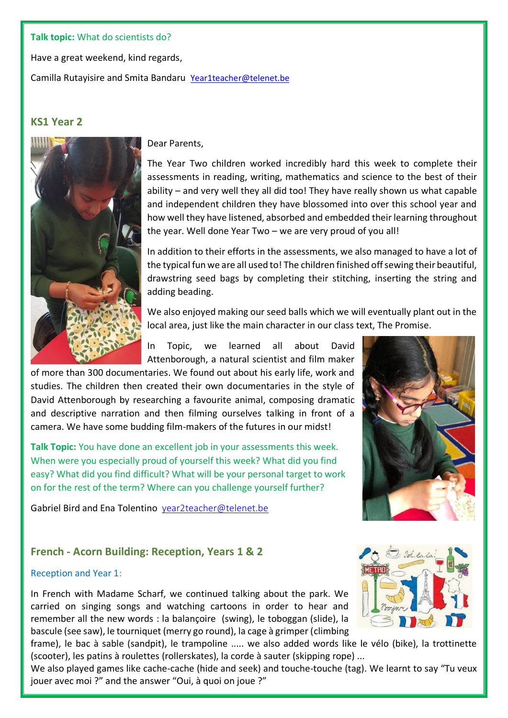#### **Talk topic:** What do scientists do?

Have a great weekend, kind regards,

Camilla Rutayisire and Smita Bandaru [Year1teacher@telenet.be](mailto:Year1teacher@telenet.be)

# **KS1 Year 2**



Dear Parents,

The Year Two children worked incredibly hard this week to complete their assessments in reading, writing, mathematics and science to the best of their ability – and very well they all did too! They have really shown us what capable and independent children they have blossomed into over this school year and how well they have listened, absorbed and embedded their learning throughout the year. Well done Year Two – we are very proud of you all!

In addition to their efforts in the assessments, we also managed to have a lot of the typical fun we are all used to! The children finished off sewing their beautiful, drawstring seed bags by completing their stitching, inserting the string and adding beading.

We also enjoyed making our seed balls which we will eventually plant out in the local area, just like the main character in our class text, The Promise.

In Topic, we learned all about David Attenborough, a natural scientist and film maker

of more than 300 documentaries. We found out about his early life, work and studies. The children then created their own documentaries in the style of David Attenborough by researching a favourite animal, composing dramatic and descriptive narration and then filming ourselves talking in front of a camera. We have some budding film-makers of the futures in our midst!

**Talk Topic:** You have done an excellent job in your assessments this week. When were you especially proud of yourself this week? What did you find easy? What did you find difficult? What will be your personal target to work on for the rest of the term? Where can you challenge yourself further?

Gabriel Bird and Ena Tolentino [year2teacher@telenet.be](mailto:year2teacher@telenet.be)



## **French - Acorn Building: Reception, Years 1 & 2**

#### Reception and Year 1:

In French with Madame Scharf, we continued talking about the park. We carried on singing songs and watching cartoons in order to hear and remember all the new words : la balançoire (swing), le toboggan (slide), la bascule (see saw), le tourniquet (merry go round), la cage à grimper (climbing



frame), le bac à sable (sandpit), le trampoline ..... we also added words like le vélo (bike), la trottinette (scooter), les patins à roulettes (rollerskates), la corde à sauter (skipping rope) ...

We also played games like cache-cache (hide and seek) and touche-touche (tag). We learnt to say "Tu veux jouer avec moi ?" and the answer "Oui, à quoi on joue ?"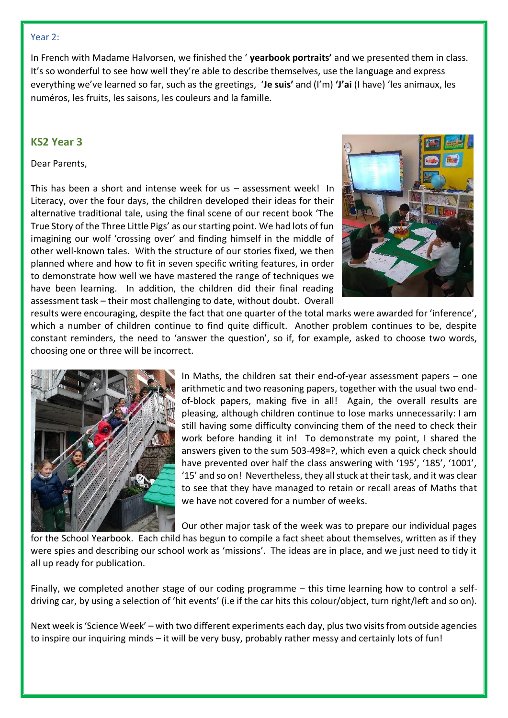#### Year 2:

In French with Madame Halvorsen, we finished the ' **yearbook portraits'** and we presented them in class. It's so wonderful to see how well they're able to describe themselves, use the language and express everything we've learned so far, such as the greetings, '**Je suis'** and (I'm) **'J'ai** (I have) 'les animaux, les numéros, les fruits, les saisons, les couleurs and la famille.

### **KS2 Year 3**

#### Dear Parents,

This has been a short and intense week for us – assessment week! In Literacy, over the four days, the children developed their ideas for their alternative traditional tale, using the final scene of our recent book 'The True Story of the Three Little Pigs' as our starting point. We had lots of fun imagining our wolf 'crossing over' and finding himself in the middle of other well-known tales. With the structure of our stories fixed, we then planned where and how to fit in seven specific writing features, in order to demonstrate how well we have mastered the range of techniques we have been learning. In addition, the children did their final reading assessment task – their most challenging to date, without doubt. Overall



results were encouraging, despite the fact that one quarter of the total marks were awarded for 'inference', which a number of children continue to find quite difficult. Another problem continues to be, despite constant reminders, the need to 'answer the question', so if, for example, asked to choose two words, choosing one or three will be incorrect.



In Maths, the children sat their end-of-year assessment papers – one arithmetic and two reasoning papers, together with the usual two endof-block papers, making five in all! Again, the overall results are pleasing, although children continue to lose marks unnecessarily: I am still having some difficulty convincing them of the need to check their work before handing it in! To demonstrate my point, I shared the answers given to the sum 503-498=?, which even a quick check should have prevented over half the class answering with '195', '185', '1001', '15' and so on! Nevertheless, they all stuck at their task, and it was clear to see that they have managed to retain or recall areas of Maths that we have not covered for a number of weeks.

Our other major task of the week was to prepare our individual pages

for the School Yearbook. Each child has begun to compile a fact sheet about themselves, written as if they were spies and describing our school work as 'missions'. The ideas are in place, and we just need to tidy it all up ready for publication.

Finally, we completed another stage of our coding programme – this time learning how to control a selfdriving car, by using a selection of 'hit events' (i.e if the car hits this colour/object, turn right/left and so on).

Next week is 'Science Week' – with two different experiments each day, plus two visits from outside agencies to inspire our inquiring minds – it will be very busy, probably rather messy and certainly lots of fun!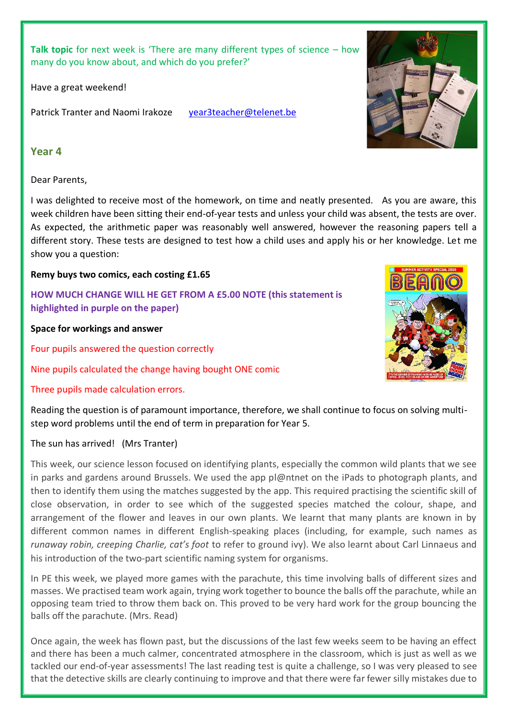**Talk topic** for next week is 'There are many different types of science – how many do you know about, and which do you prefer?'

Have a great weekend!

Patrick Tranter and Naomi Irakoze [year3teacher@telenet.be](mailto:year3teacher@telenet.be)

#### **Year 4**

#### Dear Parents,

I was delighted to receive most of the homework, on time and neatly presented. As you are aware, this week children have been sitting their end-of-year tests and unless your child was absent, the tests are over. As expected, the arithmetic paper was reasonably well answered, however the reasoning papers tell a different story. These tests are designed to test how a child uses and apply his or her knowledge. Let me show you a question:

### **Remy buys two comics, each costing £1.65**

**HOW MUCH CHANGE WILL HE GET FROM A £5.00 NOTE (this statement is highlighted in purple on the paper)**

**Space for workings and answer**

Four pupils answered the question correctly

Nine pupils calculated the change having bought ONE comic

### Three pupils made calculation errors.

Reading the question is of paramount importance, therefore, we shall continue to focus on solving multistep word problems until the end of term in preparation for Year 5.

### The sun has arrived! (Mrs Tranter)

This week, our science lesson focused on identifying plants, especially the common wild plants that we see in parks and gardens around Brussels. We used the app pl@ntnet on the iPads to photograph plants, and then to identify them using the matches suggested by the app. This required practising the scientific skill of close observation, in order to see which of the suggested species matched the colour, shape, and arrangement of the flower and leaves in our own plants. We learnt that many plants are known in by different common names in different English-speaking places (including, for example, such names as *runaway robin, creeping Charlie, cat's foot* to refer to ground ivy). We also learnt about Carl Linnaeus and his introduction of the two-part scientific naming system for organisms.

In PE this week, we played more games with the parachute, this time involving balls of different sizes and masses. We practised team work again, trying work together to bounce the balls off the parachute, while an opposing team tried to throw them back on. This proved to be very hard work for the group bouncing the balls off the parachute. (Mrs. Read)

Once again, the week has flown past, but the discussions of the last few weeks seem to be having an effect and there has been a much calmer, concentrated atmosphere in the classroom, which is just as well as we tackled our end-of-year assessments! The last reading test is quite a challenge, so I was very pleased to see that the detective skills are clearly continuing to improve and that there were far fewer silly mistakes due to



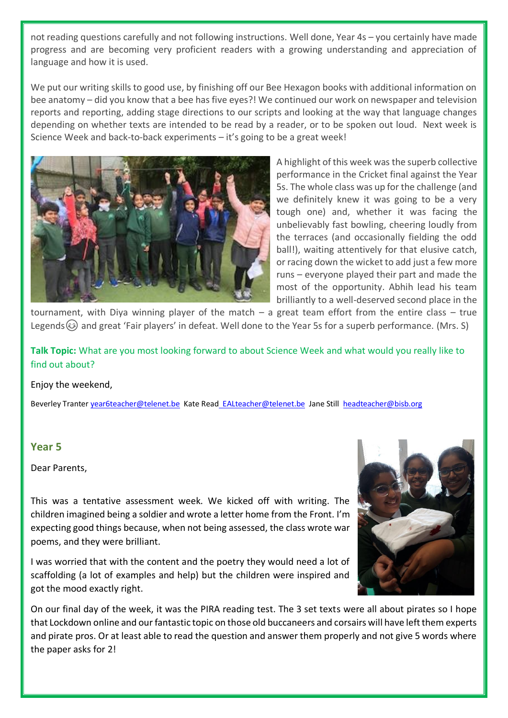not reading questions carefully and not following instructions. Well done, Year 4s – you certainly have made progress and are becoming very proficient readers with a growing understanding and appreciation of language and how it is used.

We put our writing skills to good use, by finishing off our Bee Hexagon books with additional information on bee anatomy – did you know that a bee has five eyes?! We continued our work on newspaper and television reports and reporting, adding stage directions to our scripts and looking at the way that language changes depending on whether texts are intended to be read by a reader, or to be spoken out loud. Next week is Science Week and back-to-back experiments – it's going to be a great week!



A highlight of this week was the superb collective performance in the Cricket final against the Year 5s. The whole class was up for the challenge (and we definitely knew it was going to be a very tough one) and, whether it was facing the unbelievably fast bowling, cheering loudly from the terraces (and occasionally fielding the odd ball!), waiting attentively for that elusive catch, or racing down the wicket to add just a few more runs – everyone played their part and made the most of the opportunity. Abhih lead his team brilliantly to a well-deserved second place in the

tournament, with Diya winning player of the match – a great team effort from the entire class – true Legends  $\odot$  and great 'Fair players' in defeat. Well done to the Year 5s for a superb performance. (Mrs. S)

**Talk Topic:** What are you most looking forward to about Science Week and what would you really like to find out about?

#### Enjoy the weekend,

Beverley Tranter [year6teacher@telenet.be](mailto:year6teacher@telenet.be) Kate Read [EALteacher@telenet.be](mailto:EALteacher@telenet.be) Jane Still [headteacher@bisb.org](mailto:headteacher@bisb.org)

### **Year 5**

Dear Parents,

This was a tentative assessment week. We kicked off with writing. The children imagined being a soldier and wrote a letter home from the Front. I'm expecting good things because, when not being assessed, the class wrote war poems, and they were brilliant.

I was worried that with the content and the poetry they would need a lot of scaffolding (a lot of examples and help) but the children were inspired and got the mood exactly right.



On our final day of the week, it was the PIRA reading test. The 3 set texts were all about pirates so I hope that Lockdown online and our fantastic topic on those old buccaneers and corsairs will have left them experts and pirate pros. Or at least able to read the question and answer them properly and not give 5 words where the paper asks for 2!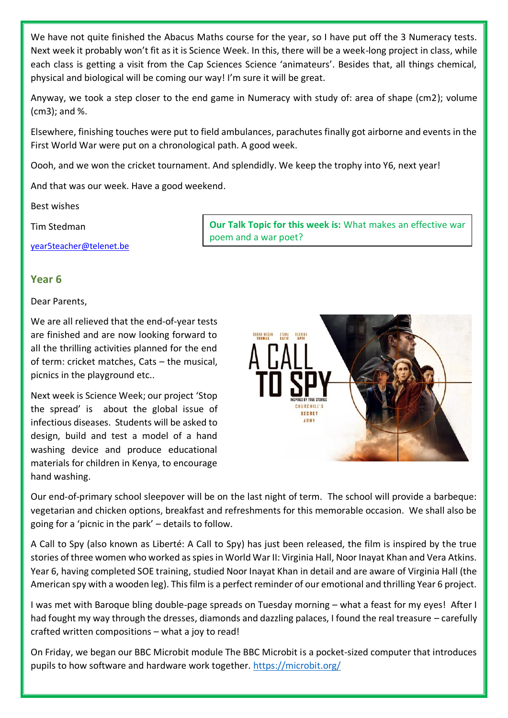We have not quite finished the Abacus Maths course for the year, so I have put off the 3 Numeracy tests. Next week it probably won't fit as it is Science Week. In this, there will be a week-long project in class, while each class is getting a visit from the Cap Sciences Science 'animateurs'. Besides that, all things chemical, physical and biological will be coming our way! I'm sure it will be great.

Anyway, we took a step closer to the end game in Numeracy with study of: area of shape (cm2); volume (cm3); and %.

Elsewhere, finishing touches were put to field ambulances, parachutes finally got airborne and events in the First World War were put on a chronological path. A good week.

Oooh, and we won the cricket tournament. And splendidly. We keep the trophy into Y6, next year!

And that was our week. Have a good weekend.

Best wishes

Tim Stedman

[year5teacher@telenet.be](mailto:year5teacher@telenet.be)

**Our Talk Topic for this week is:** What makes an effective war poem and a war poet?

## **Year 6**

Dear Parents,

We are all relieved that the end-of-year tests are finished and are now looking forward to all the thrilling activities planned for the end of term: cricket matches, Cats – the musical, picnics in the playground etc..

Next week is Science Week; our project 'Stop the spread' is about the global issue of infectious diseases. Students will be asked to design, build and test a model of a hand washing device and produce educational materials for children in Kenya, to encourage hand washing.



Our end-of-primary school sleepover will be on the last night of term. The school will provide a barbeque: vegetarian and chicken options, breakfast and refreshments for this memorable occasion. We shall also be going for a 'picnic in the park' – details to follow.

A Call to Spy (also known as Liberté: A Call to Spy) has just been released, the film is inspired by the true stories of three women who worked as spies in World War II: Virginia Hall, Noor Inayat Khan and Vera Atkins. Year 6, having completed SOE training, studied Noor Inayat Khan in detail and are aware of Virginia Hall (the American spy with a wooden leg). This film is a perfect reminder of our emotional and thrilling Year 6 project.

I was met with Baroque bling double-page spreads on Tuesday morning – what a feast for my eyes! After I had fought my way through the dresses, diamonds and dazzling palaces, I found the real treasure – carefully crafted written compositions – what a joy to read!

On Friday, we began our BBC Microbit module The BBC Microbit is a pocket-sized computer that introduces pupils to how software and hardware work together.<https://microbit.org/>